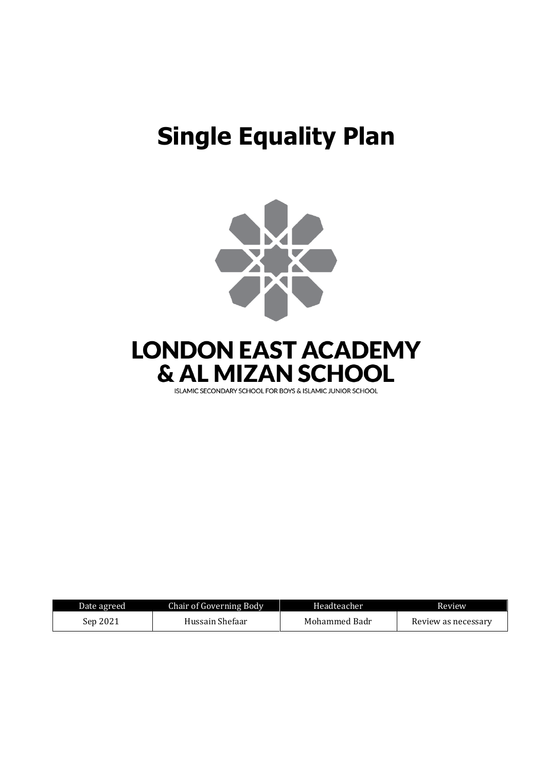# **Single Equality Plan**



**LONDON EAST ACADEMY** & AL MIZAN SCHOOL

ISLAMIC SECONDARY SCHOOL FOR BOYS & ISLAMIC JUNIOR SCHOOL

| Date agreed | <b>Chair of Governing Body</b> | Headteacher   | Review              |
|-------------|--------------------------------|---------------|---------------------|
| Sep 2021    | Hussain Shefaar                | Mohammed Badr | Review as necessary |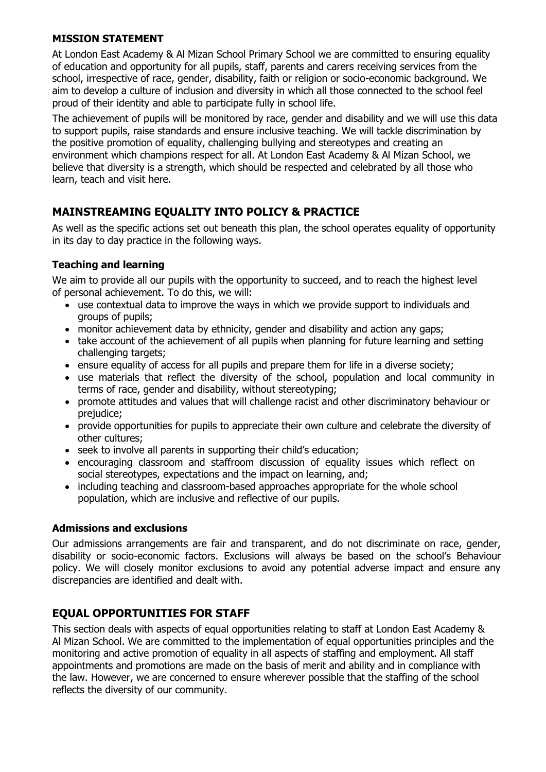#### **MISSION STATEMENT**

At London East Academy & Al Mizan School Primary School we are committed to ensuring equality of education and opportunity for all pupils, staff, parents and carers receiving services from the school, irrespective of race, gender, disability, faith or religion or socio-economic background. We aim to develop a culture of inclusion and diversity in which all those connected to the school feel proud of their identity and able to participate fully in school life.

The achievement of pupils will be monitored by race, gender and disability and we will use this data to support pupils, raise standards and ensure inclusive teaching. We will tackle discrimination by the positive promotion of equality, challenging bullying and stereotypes and creating an environment which champions respect for all. At London East Academy & Al Mizan School, we believe that diversity is a strength, which should be respected and celebrated by all those who learn, teach and visit here.

### **MAINSTREAMING EQUALITY INTO POLICY & PRACTICE**

As well as the specific actions set out beneath this plan, the school operates equality of opportunity in its day to day practice in the following ways.

#### **Teaching and learning**

We aim to provide all our pupils with the opportunity to succeed, and to reach the highest level of personal achievement. To do this, we will:

- use contextual data to improve the ways in which we provide support to individuals and groups of pupils;
- monitor achievement data by ethnicity, gender and disability and action any gaps;
- take account of the achievement of all pupils when planning for future learning and setting challenging targets;
- ensure equality of access for all pupils and prepare them for life in a diverse society;
- use materials that reflect the diversity of the school, population and local community in terms of race, gender and disability, without stereotyping;
- promote attitudes and values that will challenge racist and other discriminatory behaviour or prejudice;
- provide opportunities for pupils to appreciate their own culture and celebrate the diversity of other cultures;
- seek to involve all parents in supporting their child's education;
- encouraging classroom and staffroom discussion of equality issues which reflect on social stereotypes, expectations and the impact on learning, and;
- including teaching and classroom-based approaches appropriate for the whole school population, which are inclusive and reflective of our pupils.

#### **Admissions and exclusions**

Our admissions arrangements are fair and transparent, and do not discriminate on race, gender, disability or socio-economic factors. Exclusions will always be based on the school's Behaviour policy. We will closely monitor exclusions to avoid any potential adverse impact and ensure any discrepancies are identified and dealt with.

### **EQUAL OPPORTUNITIES FOR STAFF**

This section deals with aspects of equal opportunities relating to staff at London East Academy & Al Mizan School. We are committed to the implementation of equal opportunities principles and the monitoring and active promotion of equality in all aspects of staffing and employment. All staff appointments and promotions are made on the basis of merit and ability and in compliance with the law. However, we are concerned to ensure wherever possible that the staffing of the school reflects the diversity of our community.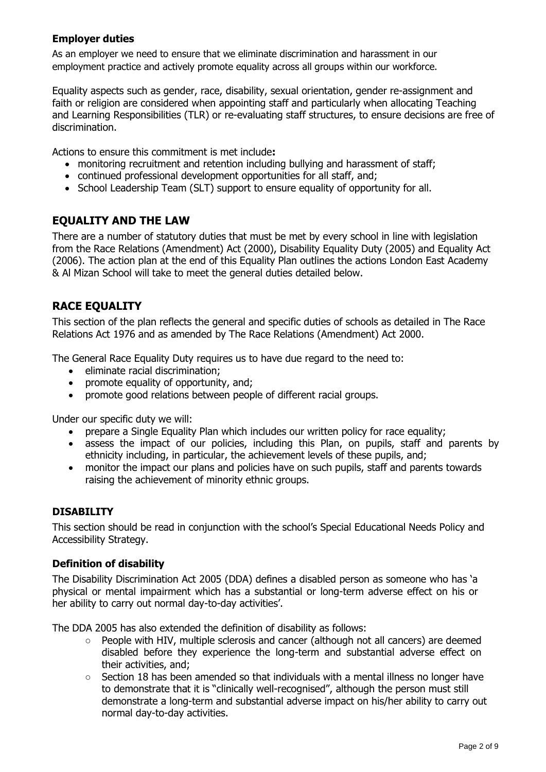#### **Employer duties**

As an employer we need to ensure that we eliminate discrimination and harassment in our employment practice and actively promote equality across all groups within our workforce.

Equality aspects such as gender, race, disability, sexual orientation, gender re-assignment and faith or religion are considered when appointing staff and particularly when allocating Teaching and Learning Responsibilities (TLR) or re-evaluating staff structures, to ensure decisions are free of discrimination.

Actions to ensure this commitment is met include**:**

- monitoring recruitment and retention including bullying and harassment of staff;
- continued professional development opportunities for all staff, and;
- School Leadership Team (SLT) support to ensure equality of opportunity for all.

### **EQUALITY AND THE LAW**

There are a number of statutory duties that must be met by every school in line with legislation from the Race Relations (Amendment) Act (2000), Disability Equality Duty (2005) and Equality Act (2006). The action plan at the end of this Equality Plan outlines the actions London East Academy & Al Mizan School will take to meet the general duties detailed below.

### **RACE EQUALITY**

This section of the plan reflects the general and specific duties of schools as detailed in The Race Relations Act 1976 and as amended by The Race Relations (Amendment) Act 2000.

The General Race Equality Duty requires us to have due regard to the need to:

- eliminate racial discrimination;
- promote equality of opportunity, and;
- promote good relations between people of different racial groups.

Under our specific duty we will:

- prepare a Single Equality Plan which includes our written policy for race equality;
- assess the impact of our policies, including this Plan, on pupils, staff and parents by ethnicity including, in particular, the achievement levels of these pupils, and;
- monitor the impact our plans and policies have on such pupils, staff and parents towards raising the achievement of minority ethnic groups.

#### **DISABILITY**

This section should be read in conjunction with the school's Special Educational Needs Policy and Accessibility Strategy.

#### **Definition of disability**

The Disability Discrimination Act 2005 (DDA) defines a disabled person as someone who has 'a physical or mental impairment which has a substantial or long-term adverse effect on his or her ability to carry out normal day-to-day activities'.

The DDA 2005 has also extended the definition of disability as follows:

- $\circ$  People with HIV, multiple sclerosis and cancer (although not all cancers) are deemed disabled before they experience the long-term and substantial adverse effect on their activities, and;
- Section 18 has been amended so that individuals with a mental illness no longer have to demonstrate that it is "clinically well-recognised", although the person must still demonstrate a long-term and substantial adverse impact on his/her ability to carry out normal day-to-day activities.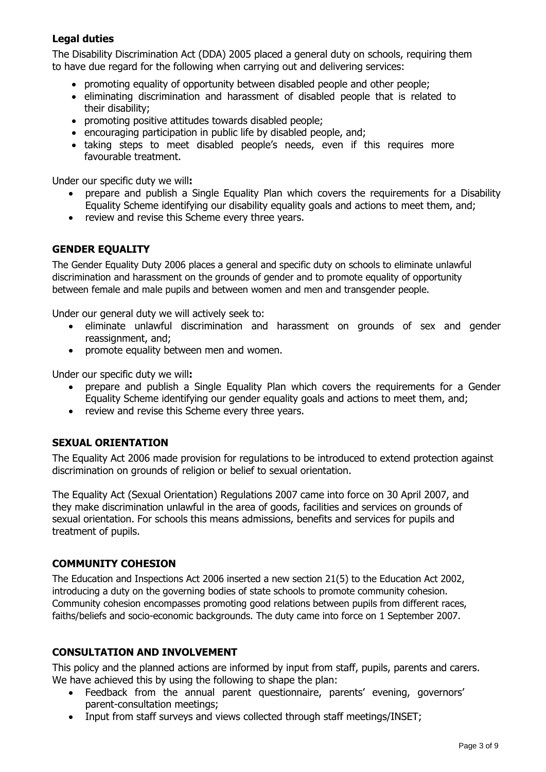#### **Legal duties**

The Disability Discrimination Act (DDA) 2005 placed a general duty on schools, requiring them to have due regard for the following when carrying out and delivering services:

- promoting equality of opportunity between disabled people and other people;
- eliminating discrimination and harassment of disabled people that is related to their disability;
- promoting positive attitudes towards disabled people;
- encouraging participation in public life by disabled people, and;
- taking steps to meet disabled people's needs, even if this requires more favourable treatment.

Under our specific duty we will**:**

- prepare and publish a Single Equality Plan which covers the requirements for a Disability Equality Scheme identifying our disability equality goals and actions to meet them, and;
- review and revise this Scheme every three years.

#### **GENDER EQUALITY**

The Gender Equality Duty 2006 places a general and specific duty on schools to eliminate unlawful discrimination and harassment on the grounds of gender and to promote equality of opportunity between female and male pupils and between women and men and transgender people.

Under our general duty we will actively seek to:

- eliminate unlawful discrimination and harassment on grounds of sex and gender reassignment, and;
- promote equality between men and women.

Under our specific duty we will**:**

- prepare and publish a Single Equality Plan which covers the requirements for a Gender Equality Scheme identifying our gender equality goals and actions to meet them, and;
- review and revise this Scheme every three years.

#### **SEXUAL ORIENTATION**

The Equality Act 2006 made provision for regulations to be introduced to extend protection against discrimination on grounds of religion or belief to sexual orientation.

The Equality Act (Sexual Orientation) Regulations 2007 came into force on 30 April 2007, and they make discrimination unlawful in the area of goods, facilities and services on grounds of sexual orientation. For schools this means admissions, benefits and services for pupils and treatment of pupils.

#### **COMMUNITY COHESION**

The Education and Inspections Act 2006 inserted a new section 21(5) to the Education Act 2002, introducing a duty on the governing bodies of state schools to promote community cohesion. Community cohesion encompasses promoting good relations between pupils from different races, faiths/beliefs and socio-economic backgrounds. The duty came into force on 1 September 2007.

#### **CONSULTATION AND INVOLVEMENT**

This policy and the planned actions are informed by input from staff, pupils, parents and carers. We have achieved this by using the following to shape the plan:

- Feedback from the annual parent questionnaire, parents' evening, governors' parent-consultation meetings;
- Input from staff surveys and views collected through staff meetings/INSET;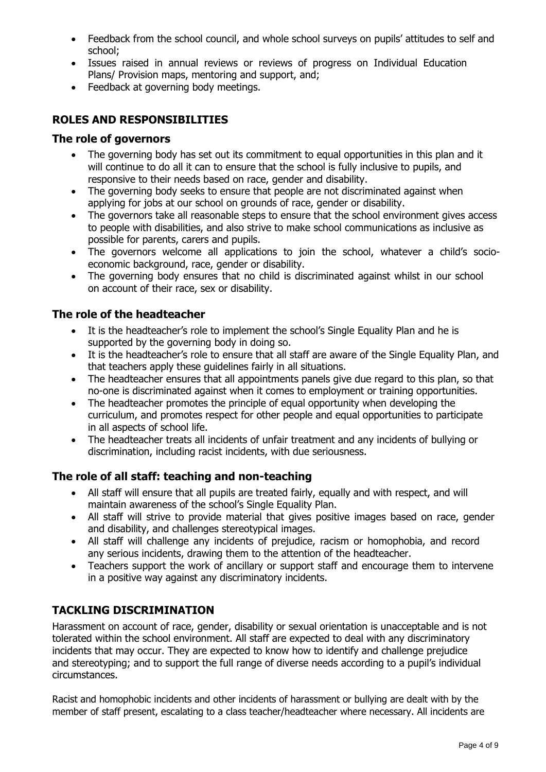- Feedback from the school council, and whole school surveys on pupils' attitudes to self and school;
- Issues raised in annual reviews or reviews of progress on Individual Education Plans/ Provision maps, mentoring and support, and;
- Feedback at governing body meetings.

#### **ROLES AND RESPONSIBILITIES**

#### **The role of governors**

- The governing body has set out its commitment to equal opportunities in this plan and it will continue to do all it can to ensure that the school is fully inclusive to pupils, and responsive to their needs based on race, gender and disability.
- The governing body seeks to ensure that people are not discriminated against when applying for jobs at our school on grounds of race, gender or disability.
- The governors take all reasonable steps to ensure that the school environment gives access to people with disabilities, and also strive to make school communications as inclusive as possible for parents, carers and pupils.
- The governors welcome all applications to join the school, whatever a child's socioeconomic background, race, gender or disability.
- The governing body ensures that no child is discriminated against whilst in our school on account of their race, sex or disability.

#### **The role of the headteacher**

- It is the headteacher's role to implement the school's Single Equality Plan and he is supported by the governing body in doing so.
- It is the headteacher's role to ensure that all staff are aware of the Single Equality Plan, and that teachers apply these guidelines fairly in all situations.
- The headteacher ensures that all appointments panels give due regard to this plan, so that no-one is discriminated against when it comes to employment or training opportunities.
- The headteacher promotes the principle of equal opportunity when developing the curriculum, and promotes respect for other people and equal opportunities to participate in all aspects of school life.
- The headteacher treats all incidents of unfair treatment and any incidents of bullying or discrimination, including racist incidents, with due seriousness.

#### **The role of all staff: teaching and non-teaching**

- All staff will ensure that all pupils are treated fairly, equally and with respect, and will maintain awareness of the school's Single Equality Plan.
- All staff will strive to provide material that gives positive images based on race, gender and disability, and challenges stereotypical images.
- All staff will challenge any incidents of prejudice, racism or homophobia, and record any serious incidents, drawing them to the attention of the headteacher.
- Teachers support the work of ancillary or support staff and encourage them to intervene in a positive way against any discriminatory incidents.

### **TACKLING DISCRIMINATION**

Harassment on account of race, gender, disability or sexual orientation is unacceptable and is not tolerated within the school environment. All staff are expected to deal with any discriminatory incidents that may occur. They are expected to know how to identify and challenge prejudice and stereotyping; and to support the full range of diverse needs according to a pupil's individual circumstances.

Racist and homophobic incidents and other incidents of harassment or bullying are dealt with by the member of staff present, escalating to a class teacher/headteacher where necessary. All incidents are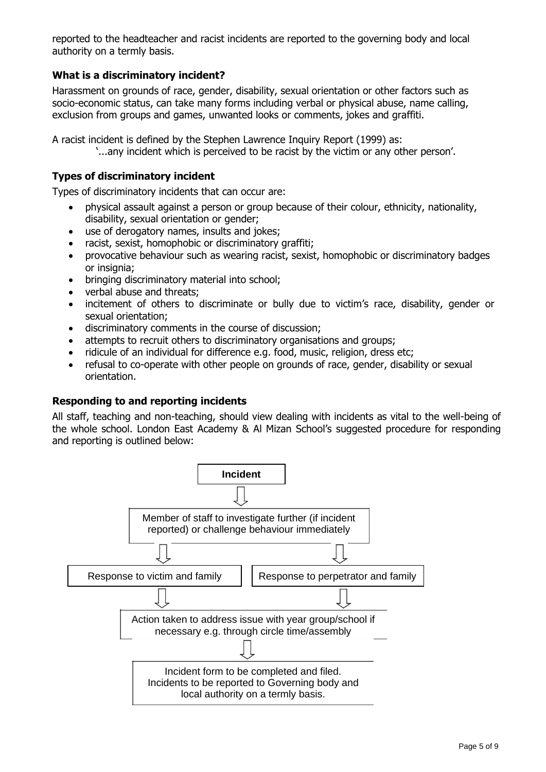reported to the headteacher and racist incidents are reported to the governing body and local authority on a termly basis.

#### **What is a discriminatory incident?**

Harassment on grounds of race, gender, disability, sexual orientation or other factors such as socio-economic status, can take many forms including verbal or physical abuse, name calling, exclusion from groups and games, unwanted looks or comments, jokes and graffiti.

A racist incident is defined by the Stephen Lawrence Inquiry Report (1999) as:

'...any incident which is perceived to be racist by the victim or any other person'.

#### **Types of discriminatory incident**

Types of discriminatory incidents that can occur are:

- physical assault against a person or group because of their colour, ethnicity, nationality, disability, sexual orientation or gender;
- use of derogatory names, insults and jokes;
- racist, sexist, homophobic or discriminatory graffiti;
- provocative behaviour such as wearing racist, sexist, homophobic or discriminatory badges or insignia;
- bringing discriminatory material into school;
- verbal abuse and threats;
- incitement of others to discriminate or bully due to victim's race, disability, gender or sexual orientation;
- discriminatory comments in the course of discussion;
- attempts to recruit others to discriminatory organisations and groups;
- ridicule of an individual for difference e.g. food, music, religion, dress etc;
- refusal to co-operate with other people on grounds of race, gender, disability or sexual orientation.

#### **Responding to and reporting incidents**

All staff, teaching and non-teaching, should view dealing with incidents as vital to the well-being of the whole school. London East Academy & Al Mizan School's suggested procedure for responding and reporting is outlined below:

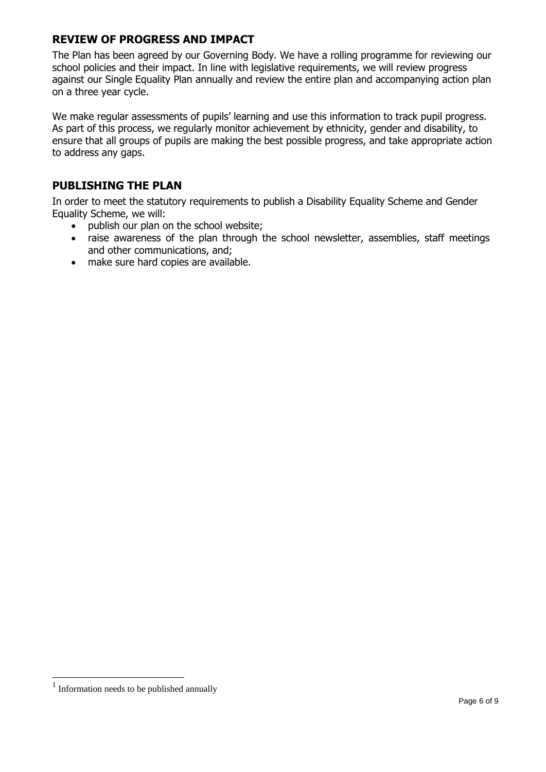#### **REVIEW OF PROGRESS AND IMPACT**

The Plan has been agreed by our Governing Body. We have a rolling programme for reviewing our school policies and their impact. In line with legislative requirements, we will review progress against our Single Equality Plan annually and review the entire plan and accompanying action plan on a three year cycle.

We make regular assessments of pupils' learning and use this information to track pupil progress. As part of this process, we regularly monitor achievement by ethnicity, gender and disability, to ensure that all groups of pupils are making the best possible progress, and take appropriate action to address any gaps.

### **PUBLISHING THE PLAN**

In order to meet the statutory requirements to publish a Disability Equality Scheme and Gender Equality Scheme, we will:

- publish our plan on the school website;
- raise awareness of the plan through the school newsletter, assemblies, staff meetings and other communications, and;
- make sure hard copies are available.

<sup>&</sup>lt;sup>1</sup> Information needs to be published annually